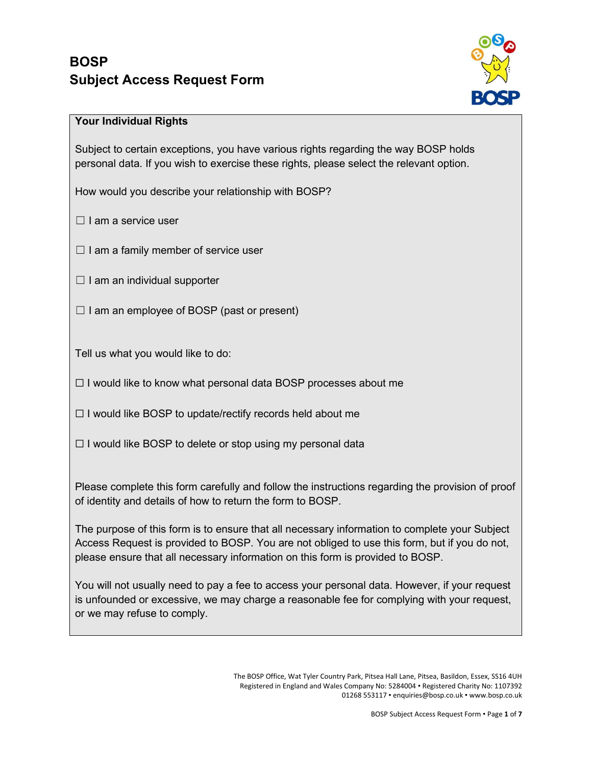

## **Your Individual Rights**

Subject to certain exceptions, you have various rights regarding the way BOSP holds personal data. If you wish to exercise these rights, please select the relevant option.

How would you describe your relationship with BOSP?

 $\Box$  I am a service user

 $\Box$  I am a family member of service user

 $\Box$  I am an individual supporter

 $\Box$  I am an employee of BOSP (past or present)

Tell us what you would like to do:

☐ I would like to know what personal data BOSP processes about me

 $\Box$  I would like BOSP to update/rectify records held about me

 $\Box$  I would like BOSP to delete or stop using my personal data

Please complete this form carefully and follow the instructions regarding the provision of proof of identity and details of how to return the form to BOSP.

The purpose of this form is to ensure that all necessary information to complete your Subject Access Request is provided to BOSP. You are not obliged to use this form, but if you do not, please ensure that all necessary information on this form is provided to BOSP.

You will not usually need to pay a fee to access your personal data. However, if your request is unfounded or excessive, we may charge a reasonable fee for complying with your request, or we may refuse to comply.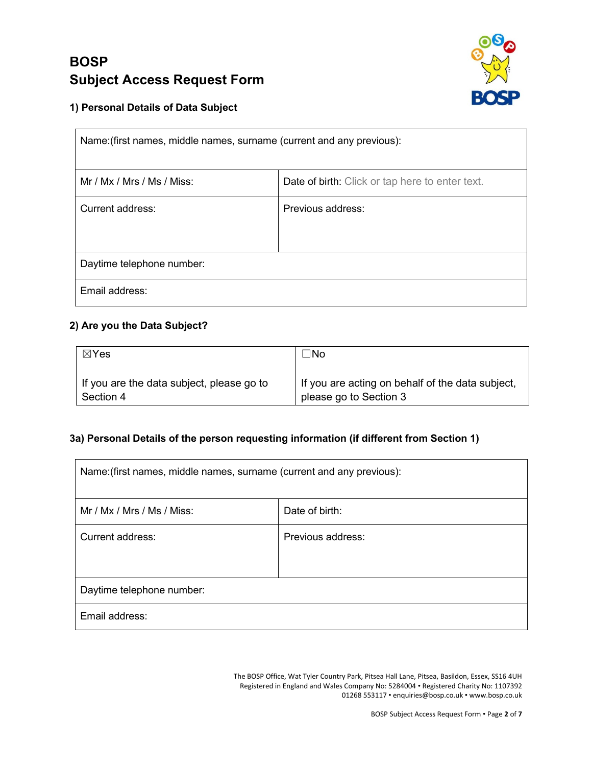

## **1) Personal Details of Data Subject**

| Name: (first names, middle names, surname (current and any previous): |                                                 |  |
|-----------------------------------------------------------------------|-------------------------------------------------|--|
| Mr / Mx / Mrs / Ms / Miss:                                            | Date of birth: Click or tap here to enter text. |  |
| Current address:                                                      | Previous address:                               |  |
| Daytime telephone number:                                             |                                                 |  |
| Email address:                                                        |                                                 |  |

## **2) Are you the Data Subject?**

| ⊠Yes                                      | ∃No                                              |
|-------------------------------------------|--------------------------------------------------|
| If you are the data subject, please go to | If you are acting on behalf of the data subject, |
| Section 4                                 | please go to Section 3                           |

## **3a) Personal Details of the person requesting information (if different from Section 1)**

| Name: (first names, middle names, surname (current and any previous): |                   |  |
|-----------------------------------------------------------------------|-------------------|--|
| Mr / Mx / Mrs / Ms / Miss:                                            | Date of birth:    |  |
| Current address:                                                      | Previous address: |  |
| Daytime telephone number:                                             |                   |  |
| Email address:                                                        |                   |  |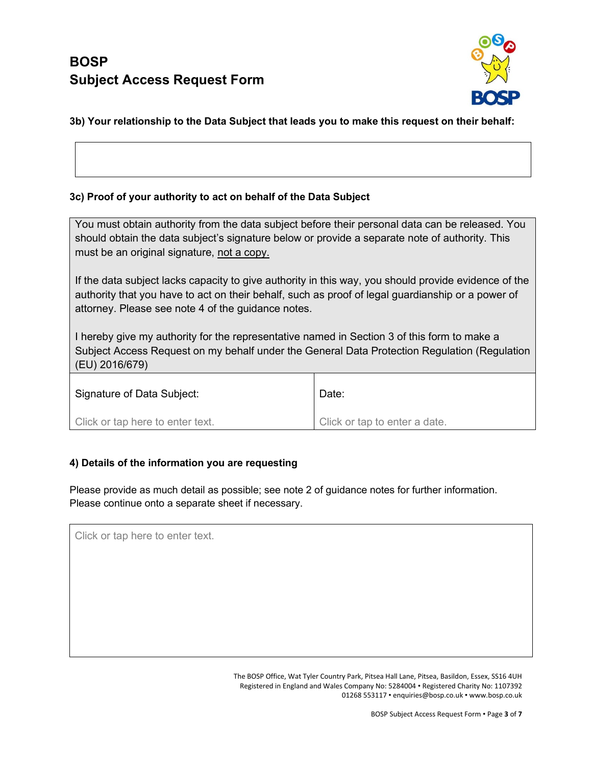

### **3b) Your relationship to the Data Subject that leads you to make this request on their behalf:**

### **3c) Proof of your authority to act on behalf of the Data Subject**

You must obtain authority from the data subject before their personal data can be released. You should obtain the data subject's signature below or provide a separate note of authority. This must be an original signature, not a copy.

If the data subject lacks capacity to give authority in this way, you should provide evidence of the authority that you have to act on their behalf, such as proof of legal guardianship or a power of attorney. Please see note 4 of the guidance notes.

I hereby give my authority for the representative named in Section 3 of this form to make a Subject Access Request on my behalf under the General Data Protection Regulation (Regulation (EU) 2016/679)

| Signature of Data Subject:       | Date:                         |
|----------------------------------|-------------------------------|
| Click or tap here to enter text. | Click or tap to enter a date. |

### **4) Details of the information you are requesting**

Please provide as much detail as possible; see note 2 of guidance notes for further information. Please continue onto a separate sheet if necessary.

Click or tap here to enter text.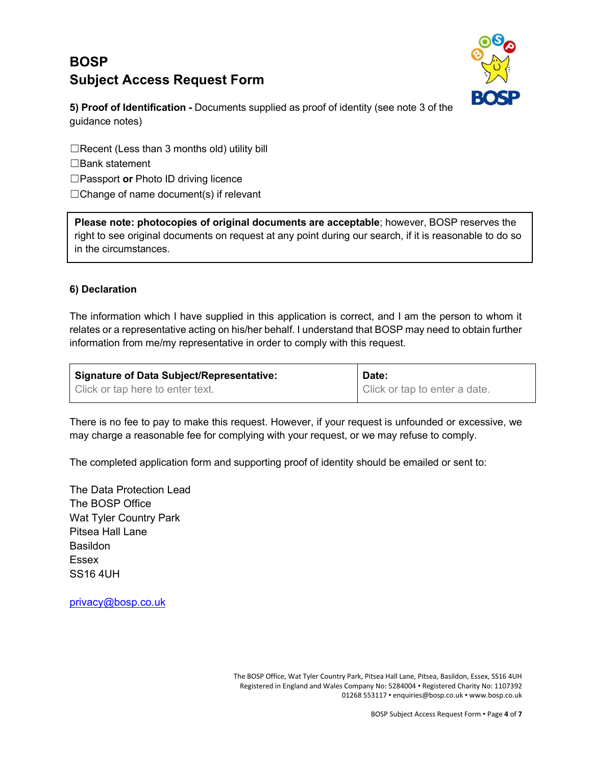

**5) Proof of Identification -** Documents supplied as proof of identity (see note 3 of the guidance notes)

☐Recent (Less than 3 months old) utility bill ☐Bank statement ☐Passport **or** Photo ID driving licence  $\Box$ Change of name document(s) if relevant

**Please note: photocopies of original documents are acceptable**; however, BOSP reserves the right to see original documents on request at any point during our search, if it is reasonable to do so in the circumstances.

### **6) Declaration**

The information which I have supplied in this application is correct, and I am the person to whom it relates or a representative acting on his/her behalf. I understand that BOSP may need to obtain further information from me/my representative in order to comply with this request.

| Signature of Data Subject/Representative: | Date:                         |
|-------------------------------------------|-------------------------------|
| Click or tap here to enter text.          | Click or tap to enter a date. |

There is no fee to pay to make this request. However, if your request is unfounded or excessive, we may charge a reasonable fee for complying with your request, or we may refuse to comply.

The completed application form and supporting proof of identity should be emailed or sent to:

The Data Protection Lead The BOSP Office Wat Tyler Country Park Pitsea Hall Lane **Basildon** Essex SS16 4UH

[privacy@bosp.co.uk](mailto:privacy@bosp.co.uk)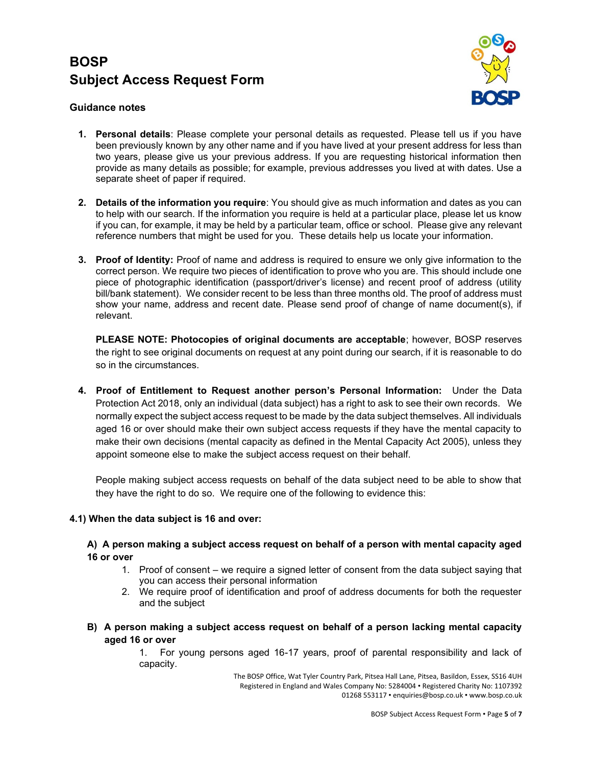

### **Guidance notes**

- **1. Personal details**: Please complete your personal details as requested. Please tell us if you have been previously known by any other name and if you have lived at your present address for less than two years, please give us your previous address. If you are requesting historical information then provide as many details as possible; for example, previous addresses you lived at with dates. Use a separate sheet of paper if required.
- **2. Details of the information you require**: You should give as much information and dates as you can to help with our search. If the information you require is held at a particular place, please let us know if you can, for example, it may be held by a particular team, office or school. Please give any relevant reference numbers that might be used for you. These details help us locate your information.
- **3. Proof of Identity:** Proof of name and address is required to ensure we only give information to the correct person. We require two pieces of identification to prove who you are. This should include one piece of photographic identification (passport/driver's license) and recent proof of address (utility bill/bank statement). We consider recent to be less than three months old. The proof of address must show your name, address and recent date. Please send proof of change of name document(s), if relevant.

**PLEASE NOTE: Photocopies of original documents are acceptable**; however, BOSP reserves the right to see original documents on request at any point during our search, if it is reasonable to do so in the circumstances.

**4. Proof of Entitlement to Request another person's Personal Information:** Under the Data Protection Act 2018, only an individual (data subject) has a right to ask to see their own records. We normally expect the subject access request to be made by the data subject themselves. All individuals aged 16 or over should make their own subject access requests if they have the mental capacity to make their own decisions (mental capacity as defined in the Mental Capacity Act 2005), unless they appoint someone else to make the subject access request on their behalf.

People making subject access requests on behalf of the data subject need to be able to show that they have the right to do so. We require one of the following to evidence this:

### **4.1) When the data subject is 16 and over:**

#### **A) A person making a subject access request on behalf of a person with mental capacity aged 16 or over**

- 1. Proof of consent we require a signed letter of consent from the data subject saying that you can access their personal information
- 2. We require proof of identification and proof of address documents for both the requester and the subject
- **B) A person making a subject access request on behalf of a person lacking mental capacity aged 16 or over**

1. For young persons aged 16-17 years, proof of parental responsibility and lack of capacity.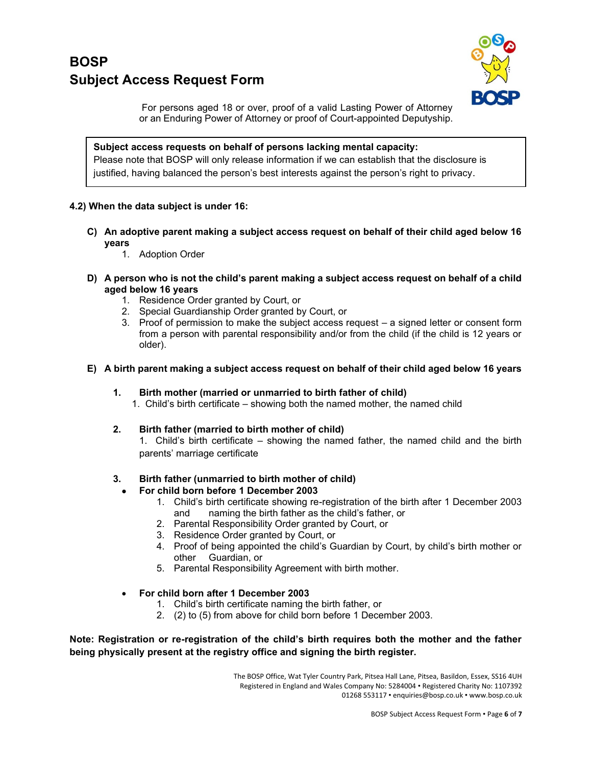

For persons aged 18 or over, proof of a valid Lasting Power of Attorney or an Enduring Power of Attorney or proof of Court-appointed Deputyship.

**Subject access requests on behalf of persons lacking mental capacity:** Please note that BOSP will only release information if we can establish that the disclosure is justified, having balanced the person's best interests against the person's right to privacy.

### **4.2) When the data subject is under 16:**

- **C) An adoptive parent making a subject access request on behalf of their child aged below 16 years**
	- 1. Adoption Order
- **D) A person who is not the child's parent making a subject access request on behalf of a child aged below 16 years**
	- 1. Residence Order granted by Court, or
	- 2. Special Guardianship Order granted by Court, or
	- 3. Proof of permission to make the subject access request a signed letter or consent form from a person with parental responsibility and/or from the child (if the child is 12 years or older).
- **E) A birth parent making a subject access request on behalf of their child aged below 16 years**
	- **1. Birth mother (married or unmarried to birth father of child)**

1. Child's birth certificate – showing both the named mother, the named child

**2. Birth father (married to birth mother of child)**

1. Child's birth certificate – showing the named father, the named child and the birth parents' marriage certificate

#### **3. Birth father (unmarried to birth mother of child)**

- **For child born before 1 December 2003**
	- 1. Child's birth certificate showing re-registration of the birth after 1 December 2003 and naming the birth father as the child's father, or
	- 2. Parental Responsibility Order granted by Court, or
	- 3. Residence Order granted by Court, or
	- 4. Proof of being appointed the child's Guardian by Court, by child's birth mother or other Guardian, or
	- 5. Parental Responsibility Agreement with birth mother.
- **For child born after 1 December 2003**
	- 1. Child's birth certificate naming the birth father, or
	- 2. (2) to (5) from above for child born before 1 December 2003.

**Note: Registration or re-registration of the child's birth requires both the mother and the father being physically present at the registry office and signing the birth register.**